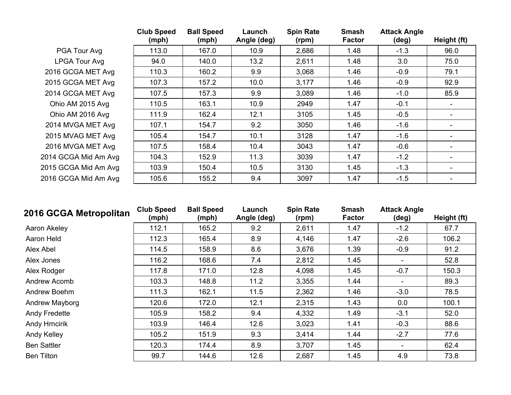|                      | <b>Club Speed</b><br>(mph) | <b>Ball Speed</b><br>(mph) | Launch<br>Angle (deg) | <b>Spin Rate</b><br>(rpm) | <b>Smash</b><br><b>Factor</b> | <b>Attack Angle</b><br>(deg) | Height (ft)              |
|----------------------|----------------------------|----------------------------|-----------------------|---------------------------|-------------------------------|------------------------------|--------------------------|
| PGA Tour Avg         | 113.0                      | 167.0                      | 10.9                  | 2,686                     | 1.48                          | $-1.3$                       | 96.0                     |
| <b>LPGA Tour Avg</b> | 94.0                       | 140.0                      | 13.2                  | 2,611                     | 1.48                          | 3.0                          | 75.0                     |
| 2016 GCGA MET Avg    | 110.3                      | 160.2                      | 9.9                   | 3,068                     | 1.46                          | $-0.9$                       | 79.1                     |
| 2015 GCGA MET Avg    | 107.3                      | 157.2                      | 10.0                  | 3,177                     | 1.46                          | $-0.9$                       | 92.9                     |
| 2014 GCGA MET Avg    | 107.5                      | 157.3                      | 9.9                   | 3,089                     | 1.46                          | $-1.0$                       | 85.9                     |
| Ohio AM 2015 Avg     | 110.5                      | 163.1                      | 10.9                  | 2949                      | 1.47                          | $-0.1$                       | $\overline{\phantom{0}}$ |
| Ohio AM 2016 Avg     | 111.9                      | 162.4                      | 12.1                  | 3105                      | 1.45                          | $-0.5$                       | $\blacksquare$           |
| 2014 MVGA MET Avg    | 107.1                      | 154.7                      | 9.2                   | 3050                      | 1.46                          | $-1.6$                       |                          |
| 2015 MVAG MET Avg    | 105.4                      | 154.7                      | 10.1                  | 3128                      | 1.47                          | $-1.6$                       |                          |
| 2016 MVGA MET Avg    | 107.5                      | 158.4                      | 10.4                  | 3043                      | 1.47                          | $-0.6$                       |                          |
| 2014 GCGA Mid Am Avg | 104.3                      | 152.9                      | 11.3                  | 3039                      | 1.47                          | $-1.2$                       |                          |
| 2015 GCGA Mid Am Avg | 103.9                      | 150.4                      | 10.5                  | 3130                      | 1.45                          | $-1.3$                       |                          |
| 2016 GCGA Mid Am Avg | 105.6                      | 155.2                      | 9.4                   | 3097                      | 1.47                          | $-1.5$                       |                          |

| 2016 GCGA Metropolitan | <b>Club Speed</b><br>(mph) | <b>Ball Speed</b><br>(mph) | Launch<br>Angle (deg) | <b>Spin Rate</b><br>(rpm) | <b>Smash</b><br><b>Factor</b> | <b>Attack Angle</b><br>$(\text{deg})$ | Height (ft) |
|------------------------|----------------------------|----------------------------|-----------------------|---------------------------|-------------------------------|---------------------------------------|-------------|
| Aaron Akeley           | 112.1                      | 165.2                      | 9.2                   | 2,611                     | 1.47                          | $-1.2$                                | 67.7        |
| Aaron Held             | 112.3                      | 165.4                      | 8.9                   | 4,146                     | 1.47                          | $-2.6$                                | 106.2       |
| Alex Abel              | 114.5                      | 158.9                      | 8.6                   | 3,676                     | 1.39                          | $-0.9$                                | 91.2        |
| Alex Jones             | 116.2                      | 168.6                      | 7.4                   | 2,812                     | 1.45                          | ۰.                                    | 52.8        |
| Alex Rodger            | 117.8                      | 171.0                      | 12.8                  | 4,098                     | 1.45                          | $-0.7$                                | 150.3       |
| Andrew Acomb           | 103.3                      | 148.8                      | 11.2                  | 3,355                     | 1.44                          | $\blacksquare$                        | 89.3        |
| Andrew Boehm           | 111.3                      | 162.1                      | 11.5                  | 2,362                     | 1.46                          | $-3.0$                                | 78.5        |
| Andrew Mayborg         | 120.6                      | 172.0                      | 12.1                  | 2,315                     | 1.43                          | 0.0                                   | 100.1       |
| Andy Fredette          | 105.9                      | 158.2                      | 9.4                   | 4,332                     | 1.49                          | $-3.1$                                | 52.0        |
| <b>Andy Hrncirik</b>   | 103.9                      | 146.4                      | 12.6                  | 3,023                     | 1.41                          | $-0.3$                                | 88.6        |
| Andy Kelley            | 105.2                      | 151.9                      | 9.3                   | 3,414                     | 1.44                          | $-2.7$                                | 77.6        |
| <b>Ben Sattler</b>     | 120.3                      | 174.4                      | 8.9                   | 3,707                     | 1.45                          | ۰                                     | 62.4        |
| <b>Ben Tilton</b>      | 99.7                       | 144.6                      | 12.6                  | 2,687                     | 1.45                          | 4.9                                   | 73.8        |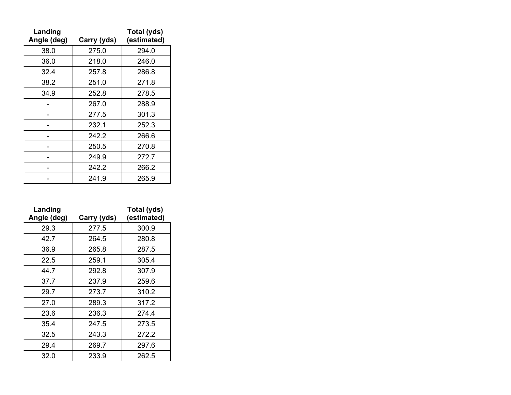| Landing<br>Angle (deg) | Carry (yds) | Total (yds)<br>(estimated) |
|------------------------|-------------|----------------------------|
| 38.0                   | 275.0       | 294.0                      |
| 36.0                   | 218.0       | 246.0                      |
| 32.4                   | 257.8       | 286.8                      |
| 38.2                   | 251.0       | 271.8                      |
| 34.9                   | 252.8       | 278.5                      |
|                        | 267.0       | 288.9                      |
|                        | 277.5       | 301.3                      |
|                        | 232.1       | 252.3                      |
|                        | 242.2       | 266.6                      |
|                        | 250.5       | 270.8                      |
|                        | 249.9       | 272.7                      |
|                        | 242.2       | 266.2                      |
|                        | 241.9       | 265.9                      |

| Landing<br>Angle (deg) | Carry (yds) | Total (yds)<br>(estimated) |
|------------------------|-------------|----------------------------|
| 29.3                   | 277.5       | 300.9                      |
| 42.7                   | 264.5       | 280.8                      |
| 36.9                   | 265.8       | 287.5                      |
| 22.5                   | 259.1       | 305.4                      |
| 44.7                   | 292.8       | 307.9                      |
| 37.7                   | 237.9       | 259.6                      |
| 29.7                   | 273.7       | 310.2                      |
| 27.0                   | 289.3       | 317.2                      |
| 23.6                   | 236.3       | 274.4                      |
| 35.4                   | 247.5       | 273.5                      |
| 32.5                   | 243.3       | 272.2                      |
| 29.4                   | 269.7       | 297.6                      |
| 32.0                   | 233.9       | 262.5                      |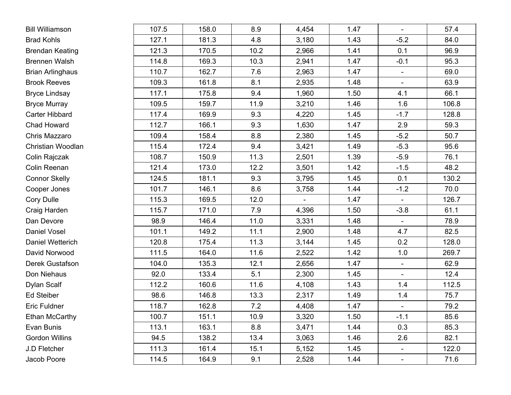| <b>Bill Williamson</b>  | 107.5 | 158.0 | 8.9  | 4,454                    | 1.47 | $\overline{\phantom{a}}$ | 57.4  |
|-------------------------|-------|-------|------|--------------------------|------|--------------------------|-------|
| <b>Brad Kohls</b>       | 127.1 | 181.3 | 4.8  | 3,180                    | 1.43 | $-5.2$                   | 84.0  |
| <b>Brendan Keating</b>  | 121.3 | 170.5 | 10.2 | 2,966                    | 1.41 | 0.1                      | 96.9  |
| <b>Brennen Walsh</b>    | 114.8 | 169.3 | 10.3 | 2,941                    | 1.47 | $-0.1$                   | 95.3  |
| <b>Brian Arlinghaus</b> | 110.7 | 162.7 | 7.6  | 2,963                    | 1.47 | $\blacksquare$           | 69.0  |
| <b>Brook Reeves</b>     | 109.3 | 161.8 | 8.1  | 2,935                    | 1.48 | $\overline{\phantom{a}}$ | 63.9  |
| <b>Bryce Lindsay</b>    | 117.1 | 175.8 | 9.4  | 1,960                    | 1.50 | 4.1                      | 66.1  |
| <b>Bryce Murray</b>     | 109.5 | 159.7 | 11.9 | 3,210                    | 1.46 | 1.6                      | 106.8 |
| <b>Carter Hibbard</b>   | 117.4 | 169.9 | 9.3  | 4,220                    | 1.45 | $-1.7$                   | 128.8 |
| Chad Howard             | 112.7 | 166.1 | 9.3  | 1,630                    | 1.47 | 2.9                      | 59.3  |
| Chris Mazzaro           | 109.4 | 158.4 | 8.8  | 2,380                    | 1.45 | $-5.2$                   | 50.7  |
| Christian Woodlan       | 115.4 | 172.4 | 9.4  | 3,421                    | 1.49 | $-5.3$                   | 95.6  |
| Colin Rajczak           | 108.7 | 150.9 | 11.3 | 2,501                    | 1.39 | $-5.9$                   | 76.1  |
| Colin Reenan            | 121.4 | 173.0 | 12.2 | 3,501                    | 1.42 | $-1.5$                   | 48.2  |
| <b>Connor Skelly</b>    | 124.5 | 181.1 | 9.3  | 3,795                    | 1.45 | 0.1                      | 130.2 |
| Cooper Jones            | 101.7 | 146.1 | 8.6  | 3,758                    | 1.44 | $-1.2$                   | 70.0  |
| <b>Cory Dulle</b>       | 115.3 | 169.5 | 12.0 | $\overline{\phantom{0}}$ | 1.47 | $\blacksquare$           | 126.7 |
| Craig Harden            | 115.7 | 171.0 | 7.9  | 4,396                    | 1.50 | $-3.8$                   | 61.1  |
| Dan Devore              | 98.9  | 146.4 | 11.0 | 3,331                    | 1.48 | $\overline{\phantom{a}}$ | 78.9  |
| Daniel Vosel            | 101.1 | 149.2 | 11.1 | 2,900                    | 1.48 | 4.7                      | 82.5  |
| Daniel Wetterich        | 120.8 | 175.4 | 11.3 | 3,144                    | 1.45 | 0.2                      | 128.0 |
| David Norwood           | 111.5 | 164.0 | 11.6 | 2,522                    | 1.42 | 1.0                      | 269.7 |
| Derek Gustafson         | 104.0 | 135.3 | 12.1 | 2,656                    | 1.47 | $\blacksquare$           | 62.9  |
| Don Niehaus             | 92.0  | 133.4 | 5.1  | 2,300                    | 1.45 | $\blacksquare$           | 12.4  |
| Dylan Scalf             | 112.2 | 160.6 | 11.6 | 4,108                    | 1.43 | 1.4                      | 112.5 |
| <b>Ed Steiber</b>       | 98.6  | 146.8 | 13.3 | 2,317                    | 1.49 | 1.4                      | 75.7  |
| Eric Fuldner            | 118.7 | 162.8 | 7.2  | 4,408                    | 1.47 | $\overline{\phantom{a}}$ | 79.2  |
| Ethan McCarthy          | 100.7 | 151.1 | 10.9 | 3,320                    | 1.50 | $-1.1$                   | 85.6  |
| Evan Bunis              | 113.1 | 163.1 | 8.8  | 3,471                    | 1.44 | 0.3                      | 85.3  |
| <b>Gordon Willins</b>   | 94.5  | 138.2 | 13.4 | 3,063                    | 1.46 | 2.6                      | 82.1  |
| J.D Fletcher            | 111.3 | 161.4 | 15.1 | 5,152                    | 1.45 | $\blacksquare$           | 122.0 |
| Jacob Poore             | 114.5 | 164.9 | 9.1  | 2,528                    | 1.44 | $\overline{\phantom{a}}$ | 71.6  |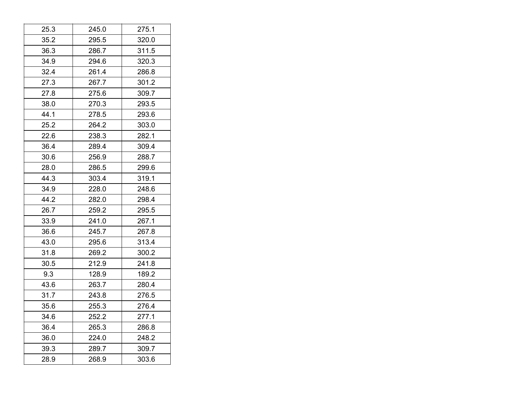| 25.3 | 245.0 | 275.1 |
|------|-------|-------|
| 35.2 | 295.5 | 320.0 |
| 36.3 | 286.7 | 311.5 |
| 34.9 | 294.6 | 320.3 |
| 32.4 | 261.4 | 286.8 |
| 27.3 | 267.7 | 301.2 |
| 27.8 | 275.6 | 309.7 |
| 38.0 | 270.3 | 293.5 |
| 44.1 | 278.5 | 293.6 |
| 25.2 | 264.2 | 303.0 |
| 22.6 | 238.3 | 282.1 |
| 36.4 | 289.4 | 309.4 |
| 30.6 | 256.9 | 288.7 |
| 28.0 | 286.5 | 299.6 |
| 44.3 | 303.4 | 319.1 |
| 34.9 | 228.0 | 248.6 |
| 44.2 | 282.0 | 298.4 |
| 26.7 | 259.2 | 295.5 |
| 33.9 | 241.0 | 267.1 |
| 36.6 | 245.7 | 267.8 |
| 43.0 | 295.6 | 313.4 |
| 31.8 | 269.2 | 300.2 |
| 30.5 | 212.9 | 241.8 |
| 9.3  | 128.9 | 189.2 |
| 43.6 | 263.7 | 280.4 |
| 31.7 | 243.8 | 276.5 |
| 35.6 | 255.3 | 276.4 |
| 34.6 | 252.2 | 277.1 |
| 36.4 | 265.3 | 286.8 |
| 36.0 | 224.0 | 248.2 |
| 39.3 | 289.7 | 309.7 |
| 28.9 | 268.9 | 303.6 |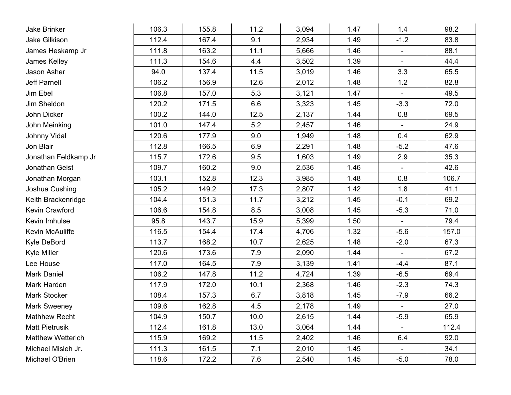| Jake Brinker             | 106.3 | 155.8 | 11.2 | 3,094 | 1.47 | 1.4                      | 98.2  |
|--------------------------|-------|-------|------|-------|------|--------------------------|-------|
| Jake Gilkison            | 112.4 | 167.4 | 9.1  | 2,934 | 1.49 | $-1.2$                   | 83.8  |
| James Heskamp Jr         | 111.8 | 163.2 | 11.1 | 5,666 | 1.46 | $\blacksquare$           | 88.1  |
| James Kelley             | 111.3 | 154.6 | 4.4  | 3,502 | 1.39 | $\blacksquare$           | 44.4  |
| Jason Asher              | 94.0  | 137.4 | 11.5 | 3,019 | 1.46 | 3.3                      | 65.5  |
| Jeff Parnell             | 106.2 | 156.9 | 12.6 | 2,012 | 1.48 | 1.2                      | 82.8  |
| Jim Ebel                 | 106.8 | 157.0 | 5.3  | 3,121 | 1.47 | $\blacksquare$           | 49.5  |
| Jim Sheldon              | 120.2 | 171.5 | 6.6  | 3,323 | 1.45 | $-3.3$                   | 72.0  |
| John Dicker              | 100.2 | 144.0 | 12.5 | 2,137 | 1.44 | 0.8                      | 69.5  |
| John Meinking            | 101.0 | 147.4 | 5.2  | 2,457 | 1.46 | $\overline{\phantom{a}}$ | 24.9  |
| Johnny Vidal             | 120.6 | 177.9 | 9.0  | 1,949 | 1.48 | 0.4                      | 62.9  |
| Jon Blair                | 112.8 | 166.5 | 6.9  | 2,291 | 1.48 | $-5.2$                   | 47.6  |
| Jonathan Feldkamp Jr     | 115.7 | 172.6 | 9.5  | 1,603 | 1.49 | 2.9                      | 35.3  |
| Jonathan Geist           | 109.7 | 160.2 | 9.0  | 2,536 | 1.46 | $\blacksquare$           | 42.6  |
| Jonathan Morgan          | 103.1 | 152.8 | 12.3 | 3,985 | 1.48 | 0.8                      | 106.7 |
| Joshua Cushing           | 105.2 | 149.2 | 17.3 | 2,807 | 1.42 | 1.8                      | 41.1  |
| Keith Brackenridge       | 104.4 | 151.3 | 11.7 | 3,212 | 1.45 | $-0.1$                   | 69.2  |
| Kevin Crawford           | 106.6 | 154.8 | 8.5  | 3,008 | 1.45 | $-5.3$                   | 71.0  |
| Kevin Imhulse            | 95.8  | 143.7 | 15.9 | 5,399 | 1.50 |                          | 79.4  |
| Kevin McAuliffe          | 116.5 | 154.4 | 17.4 | 4,706 | 1.32 | $-5.6$                   | 157.0 |
| Kyle DeBord              | 113.7 | 168.2 | 10.7 | 2,625 | 1.48 | $-2.0$                   | 67.3  |
| <b>Kyle Miller</b>       | 120.6 | 173.6 | 7.9  | 2,090 | 1.44 | $\blacksquare$           | 67.2  |
| Lee House                | 117.0 | 164.5 | 7.9  | 3,139 | 1.41 | $-4.4$                   | 87.1  |
| <b>Mark Daniel</b>       | 106.2 | 147.8 | 11.2 | 4,724 | 1.39 | $-6.5$                   | 69.4  |
| Mark Harden              | 117.9 | 172.0 | 10.1 | 2,368 | 1.46 | $-2.3$                   | 74.3  |
| Mark Stocker             | 108.4 | 157.3 | 6.7  | 3,818 | 1.45 | $-7.9$                   | 66.2  |
| <b>Mark Sweeney</b>      | 109.6 | 162.8 | 4.5  | 2,178 | 1.49 | $\overline{\phantom{a}}$ | 27.0  |
| <b>Mathhew Recht</b>     | 104.9 | 150.7 | 10.0 | 2,615 | 1.44 | $-5.9$                   | 65.9  |
| <b>Matt Pietrusik</b>    | 112.4 | 161.8 | 13.0 | 3,064 | 1.44 | $\blacksquare$           | 112.4 |
| <b>Matthew Wetterich</b> | 115.9 | 169.2 | 11.5 | 2,402 | 1.46 | 6.4                      | 92.0  |
| Michael Misleh Jr.       | 111.3 | 161.5 | 7.1  | 2,010 | 1.45 | $\overline{\phantom{a}}$ | 34.1  |
| Michael O'Brien          | 118.6 | 172.2 | 7.6  | 2,540 | 1.45 | $-5.0$                   | 78.0  |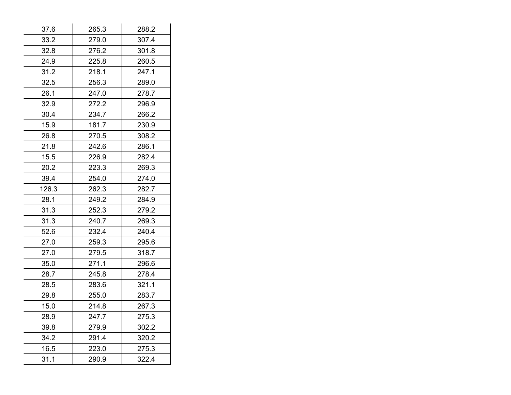| 37.6  | 265.3 | 288.2 |
|-------|-------|-------|
| 33.2  | 279.0 | 307.4 |
| 32.8  | 276.2 | 301.8 |
| 24.9  | 225.8 | 260.5 |
| 31.2  | 218.1 | 247.1 |
| 32.5  | 256.3 | 289.0 |
| 26.1  | 247.0 | 278.7 |
| 32.9  | 272.2 | 296.9 |
| 30.4  | 234.7 | 266.2 |
| 15.9  | 181.7 | 230.9 |
| 26.8  | 270.5 | 308.2 |
| 21.8  | 242.6 | 286.1 |
| 15.5  | 226.9 | 282.4 |
| 20.2  | 223.3 | 269.3 |
| 39.4  | 254.0 | 274.0 |
| 126.3 | 262.3 | 282.7 |
| 28.1  | 249.2 | 284.9 |
| 31.3  | 252.3 | 279.2 |
| 31.3  | 240.7 | 269.3 |
| 52.6  | 232.4 | 240.4 |
| 27.0  | 259.3 | 295.6 |
| 27.0  | 279.5 | 318.7 |
| 35.0  | 271.1 | 296.6 |
| 28.7  | 245.8 | 278.4 |
| 28.5  | 283.6 | 321.1 |
| 29.8  | 255.0 | 283.7 |
| 15.0  | 214.8 | 267.3 |
| 28.9  | 247.7 | 275.3 |
| 39.8  | 279.9 | 302.2 |
| 34.2  | 291.4 | 320.2 |
| 16.5  | 223.0 | 275.3 |
| 31.1  | 290.9 | 322.4 |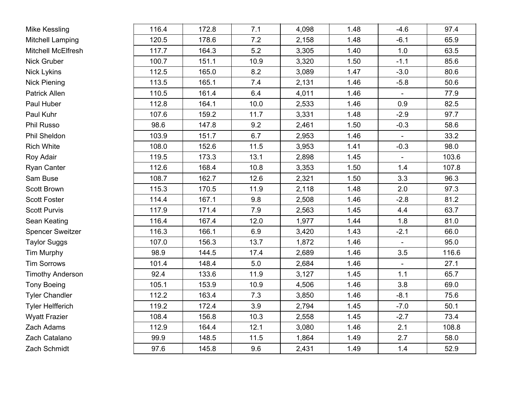| <b>Mike Kessling</b>      | 116.4 | 172.8 | 7.1  | 4,098 | 1.48 | $-4.6$         | 97.4  |
|---------------------------|-------|-------|------|-------|------|----------------|-------|
| <b>Mitchell Lamping</b>   | 120.5 | 178.6 | 7.2  | 2,158 | 1.48 | $-6.1$         | 65.9  |
| <b>Mitchell McElfresh</b> | 117.7 | 164.3 | 5.2  | 3,305 | 1.40 | 1.0            | 63.5  |
| Nick Gruber               | 100.7 | 151.1 | 10.9 | 3,320 | 1.50 | $-1.1$         | 85.6  |
| <b>Nick Lykins</b>        | 112.5 | 165.0 | 8.2  | 3,089 | 1.47 | $-3.0$         | 80.6  |
| <b>Nick Piening</b>       | 113.5 | 165.1 | 7.4  | 2,131 | 1.46 | $-5.8$         | 50.6  |
| Patrick Allen             | 110.5 | 161.4 | 6.4  | 4,011 | 1.46 |                | 77.9  |
| Paul Huber                | 112.8 | 164.1 | 10.0 | 2,533 | 1.46 | 0.9            | 82.5  |
| Paul Kuhr                 | 107.6 | 159.2 | 11.7 | 3,331 | 1.48 | $-2.9$         | 97.7  |
| <b>Phil Russo</b>         | 98.6  | 147.8 | 9.2  | 2,461 | 1.50 | $-0.3$         | 58.6  |
| Phil Sheldon              | 103.9 | 151.7 | 6.7  | 2,953 | 1.46 | $\mathbf{r}$   | 33.2  |
| <b>Rich White</b>         | 108.0 | 152.6 | 11.5 | 3,953 | 1.41 | $-0.3$         | 98.0  |
| Roy Adair                 | 119.5 | 173.3 | 13.1 | 2,898 | 1.45 | $\blacksquare$ | 103.6 |
| <b>Ryan Canter</b>        | 112.6 | 168.4 | 10.8 | 3,353 | 1.50 | 1.4            | 107.8 |
| Sam Buse                  | 108.7 | 162.7 | 12.6 | 2,321 | 1.50 | 3.3            | 96.3  |
| Scott Brown               | 115.3 | 170.5 | 11.9 | 2,118 | 1.48 | 2.0            | 97.3  |
| <b>Scott Foster</b>       | 114.4 | 167.1 | 9.8  | 2,508 | 1.46 | $-2.8$         | 81.2  |
| <b>Scott Purvis</b>       | 117.9 | 171.4 | 7.9  | 2,563 | 1.45 | 4.4            | 63.7  |
| Sean Keating              | 116.4 | 167.4 | 12.0 | 1,977 | 1.44 | 1.8            | 81.0  |
| <b>Spencer Sweitzer</b>   | 116.3 | 166.1 | 6.9  | 3,420 | 1.43 | $-2.1$         | 66.0  |
| <b>Taylor Suggs</b>       | 107.0 | 156.3 | 13.7 | 1,872 | 1.46 |                | 95.0  |
| <b>Tim Murphy</b>         | 98.9  | 144.5 | 17.4 | 2,689 | 1.46 | 3.5            | 116.6 |
| <b>Tim Sorrows</b>        | 101.4 | 148.4 | 5.0  | 2,684 | 1.46 | $\blacksquare$ | 27.1  |
| <b>Timothy Anderson</b>   | 92.4  | 133.6 | 11.9 | 3,127 | 1.45 | 1.1            | 65.7  |
| <b>Tony Boeing</b>        | 105.1 | 153.9 | 10.9 | 4,506 | 1.46 | 3.8            | 69.0  |
| <b>Tyler Chandler</b>     | 112.2 | 163.4 | 7.3  | 3,850 | 1.46 | $-8.1$         | 75.6  |
| <b>Tyler Helfferich</b>   | 119.2 | 172.4 | 3.9  | 2,794 | 1.45 | $-7.0$         | 50.1  |
| <b>Wyatt Frazier</b>      | 108.4 | 156.8 | 10.3 | 2,558 | 1.45 | $-2.7$         | 73.4  |
| Zach Adams                | 112.9 | 164.4 | 12.1 | 3,080 | 1.46 | 2.1            | 108.8 |
| Zach Catalano             | 99.9  | 148.5 | 11.5 | 1,864 | 1.49 | 2.7            | 58.0  |
| Zach Schmidt              | 97.6  | 145.8 | 9.6  | 2,431 | 1.49 | 1.4            | 52.9  |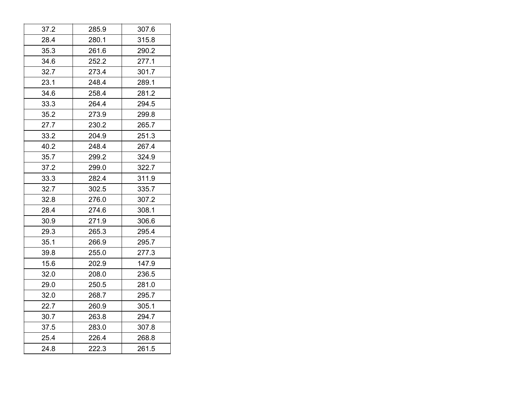| 37.2 | 285.9 | 307.6 |
|------|-------|-------|
| 28.4 | 280.1 | 315.8 |
| 35.3 | 261.6 | 290.2 |
| 34.6 | 252.2 | 277.1 |
| 32.7 | 273.4 | 301.7 |
| 23.1 | 248.4 | 289.1 |
| 34.6 | 258.4 | 281.2 |
| 33.3 | 264.4 | 294.5 |
| 35.2 | 273.9 | 299.8 |
| 27.7 | 230.2 | 265.7 |
| 33.2 | 204.9 | 251.3 |
| 40.2 | 248.4 | 267.4 |
| 35.7 | 299.2 | 324.9 |
| 37.2 | 299.0 | 322.7 |
| 33.3 | 282.4 | 311.9 |
| 32.7 | 302.5 | 335.7 |
| 32.8 | 276.0 | 307.2 |
| 28.4 | 274.6 | 308.1 |
| 30.9 | 271.9 | 306.6 |
| 29.3 | 265.3 | 295.4 |
| 35.1 | 266.9 | 295.7 |
| 39.8 | 255.0 | 277.3 |
| 15.6 | 202.9 | 147.9 |
| 32.0 | 208.0 | 236.5 |
| 29.0 | 250.5 | 281.0 |
| 32.0 | 268.7 | 295.7 |
| 22.7 | 260.9 | 305.1 |
| 30.7 | 263.8 | 294.7 |
| 37.5 | 283.0 | 307.8 |
| 25.4 | 226.4 | 268.8 |
| 24.8 | 222.3 | 261.5 |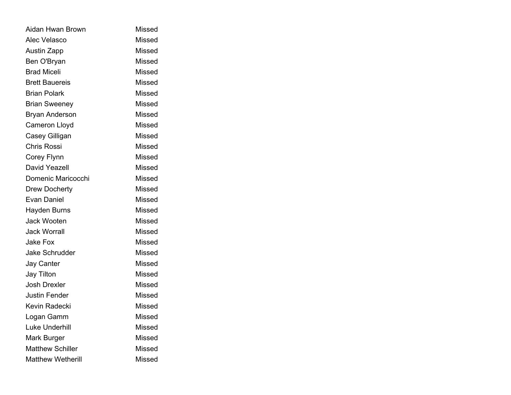| Aidan Hwan Brown         | <b>Missed</b> |
|--------------------------|---------------|
| Alec Velasco             | <b>Missed</b> |
| <b>Austin Zapp</b>       | Missed        |
| Ben O'Bryan              | Missed        |
| <b>Brad Miceli</b>       | <b>Missed</b> |
| <b>Brett Bauereis</b>    | Missed        |
| <b>Brian Polark</b>      | Missed        |
| <b>Brian Sweeney</b>     | <b>Missed</b> |
| <b>Bryan Anderson</b>    | <b>Missed</b> |
| Cameron Lloyd            | <b>Missed</b> |
| Casey Gilligan           | <b>Missed</b> |
| <b>Chris Rossi</b>       | <b>Missed</b> |
| Corey Flynn              | Missed        |
| David Yeazell            | <b>Missed</b> |
| Domenic Maricocchi       | Missed        |
| <b>Drew Docherty</b>     | <b>Missed</b> |
| Evan Daniel              | <b>Missed</b> |
| <b>Hayden Burns</b>      | Missed        |
| Jack Wooten              | <b>Missed</b> |
| <b>Jack Worrall</b>      | <b>Missed</b> |
| Jake Fox                 | <b>Missed</b> |
| <b>Jake Schrudder</b>    | <b>Missed</b> |
| <b>Jay Canter</b>        | Missed        |
| <b>Jay Tilton</b>        | <b>Missed</b> |
| <b>Josh Drexler</b>      | <b>Missed</b> |
| <b>Justin Fender</b>     | <b>Missed</b> |
| Kevin Radecki            | <b>Missed</b> |
| Logan Gamm               | <b>Missed</b> |
| <b>Luke Underhill</b>    | Missed        |
| Mark Burger              | Missed        |
| <b>Matthew Schiller</b>  | <b>Missed</b> |
| <b>Matthew Wetherill</b> | <b>Missed</b> |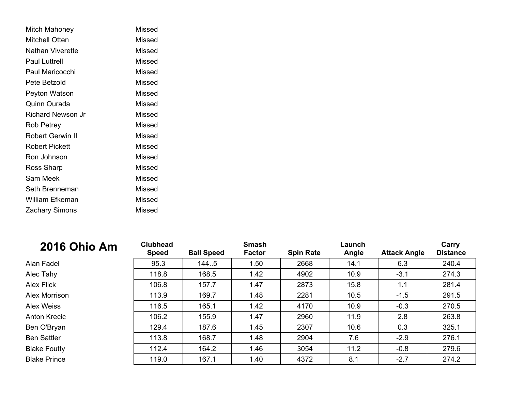| Mitch Mahoney         | Missed |
|-----------------------|--------|
| Mitchell Otten        | Missed |
| Nathan Viverette      | Missed |
| Paul Luttrell         | Missed |
| Paul Maricocchi       | Missed |
| Pete Betzold          | Missed |
| Peyton Watson         | Missed |
| Quinn Ourada          | Missed |
| Richard Newson Jr     | Missed |
| Rob Petrey            | Missed |
| Robert Gerwin II      | Missed |
| Robert Pickett        | Missed |
| Ron Johnson           | Missed |
| Ross Sharp            | Missed |
| Sam Meek              | Missed |
| Seth Brenneman        | Missed |
| William Efkeman       | Missed |
| <b>Zachary Simons</b> | Missed |

| <b>2016 Ohio Am</b> | <b>Clubhead</b><br><b>Speed</b> | <b>Ball Speed</b> | <b>Smash</b><br><b>Factor</b> | <b>Spin Rate</b> | Launch<br>Angle | <b>Attack Angle</b> | Carry<br><b>Distance</b> |
|---------------------|---------------------------------|-------------------|-------------------------------|------------------|-----------------|---------------------|--------------------------|
| Alan Fadel          | 95.3                            | 144.5             | 1.50                          | 2668             | 14.1            | 6.3                 | 240.4                    |
| Alec Tahy           | 118.8                           | 168.5             | 1.42                          | 4902             | 10.9            | $-3.1$              | 274.3                    |
| <b>Alex Flick</b>   | 106.8                           | 157.7             | 1.47                          | 2873             | 15.8            | 1.1                 | 281.4                    |
| Alex Morrison       | 113.9                           | 169.7             | 1.48                          | 2281             | 10.5            | $-1.5$              | 291.5                    |
| Alex Weiss          | 116.5                           | 165.1             | 1.42                          | 4170             | 10.9            | $-0.3$              | 270.5                    |
| Anton Krecic        | 106.2                           | 155.9             | 1.47                          | 2960             | 11.9            | 2.8                 | 263.8                    |
| Ben O'Bryan         | 129.4                           | 187.6             | 1.45                          | 2307             | 10.6            | 0.3                 | 325.1                    |
| <b>Ben Sattler</b>  | 113.8                           | 168.7             | 1.48                          | 2904             | 7.6             | $-2.9$              | 276.1                    |
| <b>Blake Foutty</b> | 112.4                           | 164.2             | 1.46                          | 3054             | 11.2            | $-0.8$              | 279.6                    |
| <b>Blake Prince</b> | 119.0                           | 167.1             | 1.40                          | 4372             | 8.1             | $-2.7$              | 274.2                    |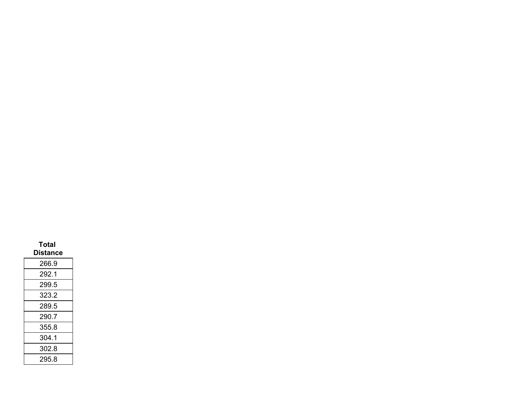| Total<br>Distance |  |
|-------------------|--|
| 266.9             |  |
| 292.1             |  |
| 299.5             |  |
| 323.2             |  |
| 289.5             |  |
| 290.7             |  |
| 355.8             |  |
| 304.1             |  |
| 302.8             |  |
| 295.8             |  |
|                   |  |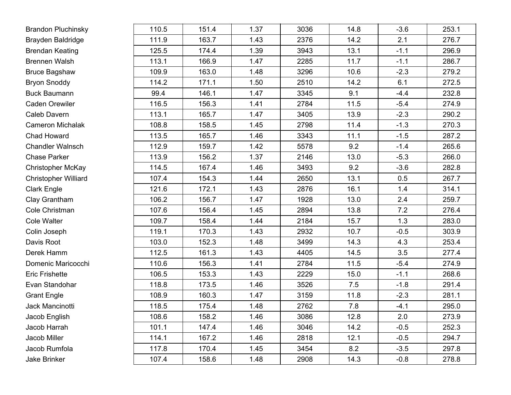| <b>Brandon Pluchinsky</b>   | 110.5 | 151.4 | 1.37 | 3036 | 14.8 | $-3.6$ | 253.1 |
|-----------------------------|-------|-------|------|------|------|--------|-------|
| Brayden Baldridge           | 111.9 | 163.7 | 1.43 | 2376 | 14.2 | 2.1    | 276.7 |
| <b>Brendan Keating</b>      | 125.5 | 174.4 | 1.39 | 3943 | 13.1 | $-1.1$ | 296.9 |
| <b>Brennen Walsh</b>        | 113.1 | 166.9 | 1.47 | 2285 | 11.7 | $-1.1$ | 286.7 |
| <b>Bruce Bagshaw</b>        | 109.9 | 163.0 | 1.48 | 3296 | 10.6 | $-2.3$ | 279.2 |
| <b>Bryon Snoddy</b>         | 114.2 | 171.1 | 1.50 | 2510 | 14.2 | 6.1    | 272.5 |
| <b>Buck Baumann</b>         | 99.4  | 146.1 | 1.47 | 3345 | 9.1  | $-4.4$ | 232.8 |
| <b>Caden Orewiler</b>       | 116.5 | 156.3 | 1.41 | 2784 | 11.5 | $-5.4$ | 274.9 |
| Caleb Davern                | 113.1 | 165.7 | 1.47 | 3405 | 13.9 | $-2.3$ | 290.2 |
| <b>Cameron Michalak</b>     | 108.8 | 158.5 | 1.45 | 2798 | 11.4 | $-1.3$ | 270.3 |
| Chad Howard                 | 113.5 | 165.7 | 1.46 | 3343 | 11.1 | $-1.5$ | 287.2 |
| <b>Chandler Walnsch</b>     | 112.9 | 159.7 | 1.42 | 5578 | 9.2  | $-1.4$ | 265.6 |
| <b>Chase Parker</b>         | 113.9 | 156.2 | 1.37 | 2146 | 13.0 | $-5.3$ | 266.0 |
| <b>Christopher McKay</b>    | 114.5 | 167.4 | 1.46 | 3493 | 9.2  | $-3.6$ | 282.8 |
| <b>Christopher Williard</b> | 107.4 | 154.3 | 1.44 | 2650 | 13.1 | 0.5    | 267.7 |
| <b>Clark Engle</b>          | 121.6 | 172.1 | 1.43 | 2876 | 16.1 | 1.4    | 314.1 |
| Clay Grantham               | 106.2 | 156.7 | 1.47 | 1928 | 13.0 | 2.4    | 259.7 |
| Cole Christman              | 107.6 | 156.4 | 1.45 | 2894 | 13.8 | 7.2    | 276.4 |
| Cole Walter                 | 109.7 | 158.4 | 1.44 | 2184 | 15.7 | 1.3    | 283.0 |
| Colin Joseph                | 119.1 | 170.3 | 1.43 | 2932 | 10.7 | $-0.5$ | 303.9 |
| Davis Root                  | 103.0 | 152.3 | 1.48 | 3499 | 14.3 | 4.3    | 253.4 |
| Derek Hamm                  | 112.5 | 161.3 | 1.43 | 4405 | 14.5 | 3.5    | 277.4 |
| Domenic Maricocchi          | 110.6 | 156.3 | 1.41 | 2784 | 11.5 | $-5.4$ | 274.9 |
| <b>Eric Frishette</b>       | 106.5 | 153.3 | 1.43 | 2229 | 15.0 | $-1.1$ | 268.6 |
| Evan Standohar              | 118.8 | 173.5 | 1.46 | 3526 | 7.5  | $-1.8$ | 291.4 |
| <b>Grant Engle</b>          | 108.9 | 160.3 | 1.47 | 3159 | 11.8 | $-2.3$ | 281.1 |
| Jack Mancinotti             | 118.5 | 175.4 | 1.48 | 2762 | 7.8  | $-4.1$ | 295.0 |
| Jacob English               | 108.6 | 158.2 | 1.46 | 3086 | 12.8 | 2.0    | 273.9 |
| Jacob Harrah                | 101.1 | 147.4 | 1.46 | 3046 | 14.2 | $-0.5$ | 252.3 |
| Jacob Miller                | 114.1 | 167.2 | 1.46 | 2818 | 12.1 | $-0.5$ | 294.7 |
| Jacob Rumfola               | 117.8 | 170.4 | 1.45 | 3454 | 8.2  | $-3.5$ | 297.8 |
| Jake Brinker                | 107.4 | 158.6 | 1.48 | 2908 | 14.3 | $-0.8$ | 278.8 |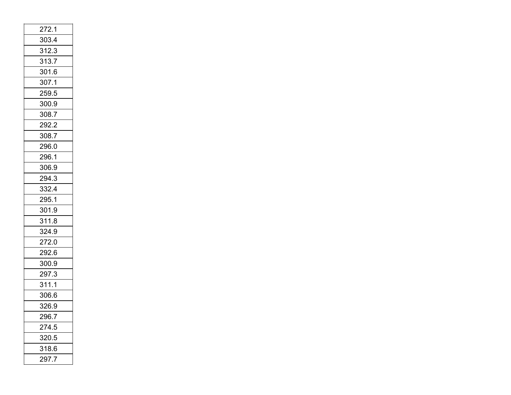| 272.1 |  |
|-------|--|
| 303.4 |  |
| 312.3 |  |
| 313.7 |  |
| 301.6 |  |
| 307.1 |  |
| 259.5 |  |
| 300.9 |  |
| 308.7 |  |
| 292.2 |  |
| 308.7 |  |
| 296.0 |  |
| 296.1 |  |
| 306.9 |  |
| 294.3 |  |
| 332.4 |  |
| 295.1 |  |
| 301.9 |  |
| 311.8 |  |
| 324.9 |  |
| 272.0 |  |
| 292.6 |  |
| 300.9 |  |
| 297.3 |  |
| 311.1 |  |
| 306.6 |  |
| 326.9 |  |
| 296.7 |  |
| 274.5 |  |
| 320.5 |  |
| 318.6 |  |
| 297.7 |  |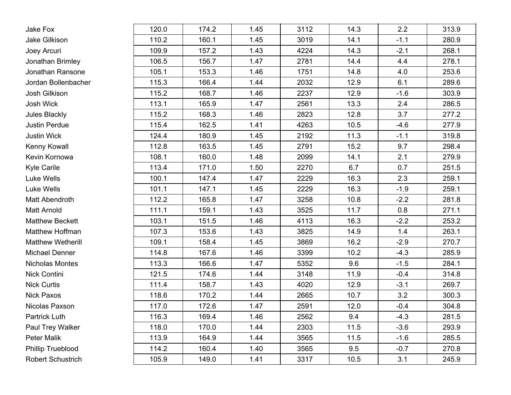| Jake Fox                 | 120.0 | 174.2 | 1.45 | 3112 | 14.3 | 2.2    | 313.9 |
|--------------------------|-------|-------|------|------|------|--------|-------|
| Jake Gilkison            | 110.2 | 160.1 | 1.45 | 3019 | 14.1 | $-1.1$ | 280.9 |
| Joey Arcuri              | 109.9 | 157.2 | 1.43 | 4224 | 14.3 | $-2.1$ | 268.1 |
| Jonathan Brimley         | 106.5 | 156.7 | 1.47 | 2781 | 14.4 | 4.4    | 278.1 |
| Jonathan Ransone         | 105.1 | 153.3 | 1.46 | 1751 | 14.8 | 4.0    | 253.6 |
| Jordan Bollenbacher      | 115.3 | 166.4 | 1.44 | 2032 | 12.9 | 6.1    | 289.6 |
| Josh Gilkison            | 115.2 | 168.7 | 1.46 | 2237 | 12.9 | $-1.6$ | 303.9 |
| Josh Wick                | 113.1 | 165.9 | 1.47 | 2561 | 13.3 | 2.4    | 286.5 |
| Jules Blackly            | 115.2 | 168.3 | 1.46 | 2823 | 12.8 | 3.7    | 277.2 |
| <b>Justin Perdue</b>     | 115.4 | 162.5 | 1.41 | 4263 | 10.5 | $-4.6$ | 277.9 |
| <b>Justin Wick</b>       | 124.4 | 180.9 | 1.45 | 2192 | 11.3 | $-1.1$ | 319.8 |
| Kenny Kowall             | 112.8 | 163.5 | 1.45 | 2791 | 15.2 | 9.7    | 298.4 |
| Kevin Kornowa            | 108.1 | 160.0 | 1.48 | 2099 | 14.1 | 2.1    | 279.9 |
| <b>Kyle Carile</b>       | 113.4 | 171.0 | 1.50 | 2270 | 6.7  | 0.7    | 251.5 |
| Luke Wells               | 100.1 | 147.4 | 1.47 | 2229 | 16.3 | 2.3    | 259.1 |
| Luke Wells               | 101.1 | 147.1 | 1.45 | 2229 | 16.3 | $-1.9$ | 259.1 |
| <b>Matt Abendroth</b>    | 112.2 | 165.8 | 1.47 | 3258 | 10.8 | $-2.2$ | 281.8 |
| <b>Matt Arnold</b>       | 111.1 | 159.1 | 1.43 | 3525 | 11.7 | 0.8    | 271.1 |
| <b>Matthew Beckett</b>   | 103.1 | 151.5 | 1.46 | 4113 | 16.3 | $-2.2$ | 253.2 |
| Matthew Hoffman          | 107.3 | 153.6 | 1.43 | 3825 | 14.9 | 1.4    | 263.1 |
| <b>Matthew Wetherill</b> | 109.1 | 158.4 | 1.45 | 3869 | 16.2 | $-2.9$ | 270.7 |
| <b>Michael Denner</b>    | 114.8 | 167.6 | 1.46 | 3399 | 10.2 | $-4.3$ | 285.9 |
| Nicholas Montes          | 113.3 | 166.6 | 1.47 | 5352 | 9.6  | $-1.5$ | 284.1 |
| Nick Contini             | 121.5 | 174.6 | 1.44 | 3148 | 11.9 | $-0.4$ | 314.8 |
| <b>Nick Curtis</b>       | 111.4 | 158.7 | 1.43 | 4020 | 12.9 | $-3.1$ | 269.7 |
| <b>Nick Paxos</b>        | 118.6 | 170.2 | 1.44 | 2665 | 10.7 | 3.2    | 300.3 |
| Nicolas Paxson           | 117.0 | 172.6 | 1.47 | 2591 | 12.0 | $-0.4$ | 304.8 |
| Partrick Luth            | 116.3 | 169.4 | 1.46 | 2562 | 9.4  | $-4.3$ | 281.5 |
| Paul Trey Walker         | 118.0 | 170.0 | 1.44 | 2303 | 11.5 | $-3.6$ | 293.9 |
| Peter Malik              | 113.9 | 164.9 | 1.44 | 3565 | 11.5 | $-1.6$ | 285.5 |
| <b>Phillip Trueblood</b> | 114.2 | 160.4 | 1.40 | 3565 | 9.5  | $-0.7$ | 270.8 |
| Robert Schustrich        | 105.9 | 149.0 | 1.41 | 3317 | 10.5 | 3.1    | 245.9 |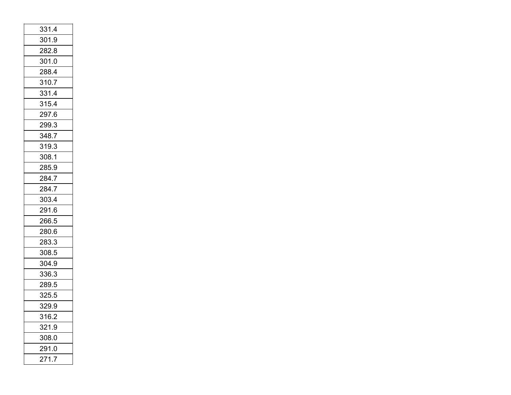| 331.4 |  |
|-------|--|
| 301.9 |  |
| 282.8 |  |
| 301.0 |  |
| 288.4 |  |
| 310.7 |  |
| 331.4 |  |
| 315.4 |  |
| 297.6 |  |
| 299.3 |  |
| 348.7 |  |
| 319.3 |  |
| 308.1 |  |
| 285.9 |  |
| 284.7 |  |
| 284.7 |  |
| 303.4 |  |
| 291.6 |  |
| 266.5 |  |
| 280.6 |  |
| 283.3 |  |
| 308.5 |  |
| 304.9 |  |
| 336.3 |  |
| 289.5 |  |
| 325.5 |  |
| 329.9 |  |
| 316.2 |  |
| 321.9 |  |
| 308.0 |  |
| 291.0 |  |
| 271.7 |  |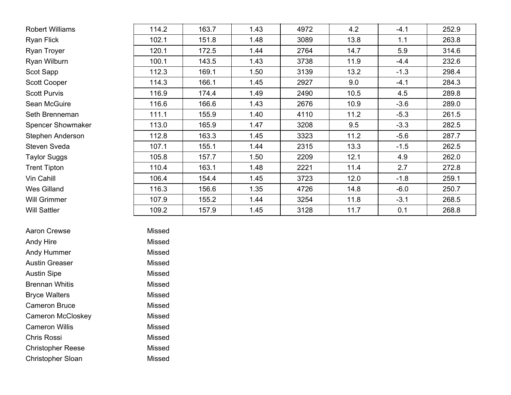| <b>Robert Williams</b>   | 114.2 | 163.7 | 1.43 | 4972 | 4.2  | $-4.1$ | 252.9 |
|--------------------------|-------|-------|------|------|------|--------|-------|
| <b>Ryan Flick</b>        | 102.1 | 151.8 | 1.48 | 3089 | 13.8 | 1.1    | 263.8 |
| Ryan Troyer              | 120.1 | 172.5 | 1.44 | 2764 | 14.7 | 5.9    | 314.6 |
| Ryan Wilburn             | 100.1 | 143.5 | 1.43 | 3738 | 11.9 | $-4.4$ | 232.6 |
| Scot Sapp                | 112.3 | 169.1 | 1.50 | 3139 | 13.2 | $-1.3$ | 298.4 |
| <b>Scott Cooper</b>      | 114.3 | 166.1 | 1.45 | 2927 | 9.0  | $-4.1$ | 284.3 |
| <b>Scott Purvis</b>      | 116.9 | 174.4 | 1.49 | 2490 | 10.5 | 4.5    | 289.8 |
| Sean McGuire             | 116.6 | 166.6 | 1.43 | 2676 | 10.9 | $-3.6$ | 289.0 |
| Seth Brenneman           | 111.1 | 155.9 | 1.40 | 4110 | 11.2 | $-5.3$ | 261.5 |
| <b>Spencer Showmaker</b> | 113.0 | 165.9 | 1.47 | 3208 | 9.5  | $-3.3$ | 282.5 |
| Stephen Anderson         | 112.8 | 163.3 | 1.45 | 3323 | 11.2 | $-5.6$ | 287.7 |
| <b>Steven Sveda</b>      | 107.1 | 155.1 | 1.44 | 2315 | 13.3 | $-1.5$ | 262.5 |
| <b>Taylor Suggs</b>      | 105.8 | 157.7 | 1.50 | 2209 | 12.1 | 4.9    | 262.0 |
| <b>Trent Tipton</b>      | 110.4 | 163.1 | 1.48 | 2221 | 11.4 | 2.7    | 272.8 |
| Vin Cahill               | 106.4 | 154.4 | 1.45 | 3723 | 12.0 | $-1.8$ | 259.1 |
| <b>Wes Gilland</b>       | 116.3 | 156.6 | 1.35 | 4726 | 14.8 | $-6.0$ | 250.7 |
| <b>Will Grimmer</b>      | 107.9 | 155.2 | 1.44 | 3254 | 11.8 | $-3.1$ | 268.5 |
| <b>Will Sattler</b>      | 109.2 | 157.9 | 1.45 | 3128 | 11.7 | 0.1    | 268.8 |

| Aaron Crewse             | Missed |
|--------------------------|--------|
| Andy Hire                | Missed |
| <b>Andy Hummer</b>       | Missed |
| <b>Austin Greaser</b>    | Missed |
| <b>Austin Sipe</b>       | Missed |
| <b>Brennan Whitis</b>    | Missed |
| <b>Bryce Walters</b>     | Missed |
| <b>Cameron Bruce</b>     | Missed |
| <b>Cameron McCloskey</b> | Missed |
| <b>Cameron Willis</b>    | Missed |
| <b>Chris Rossi</b>       | Missed |
| <b>Christopher Reese</b> | Missed |
| <b>Christopher Sloan</b> | Missed |
|                          |        |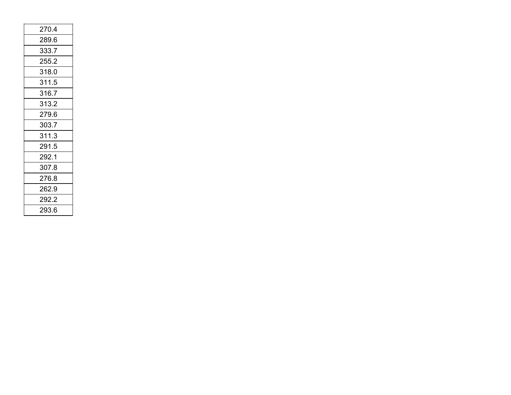| 2704  |
|-------|
| 289.6 |
| 333.7 |
| 255.2 |
| 318.0 |
| 311.5 |
| 316.7 |
| 313.2 |
| 279.6 |
|       |
| 303.7 |
| 311.3 |
| 291.5 |
| 292.1 |
| 307.8 |
| 276.8 |
| 262.9 |
| 292.2 |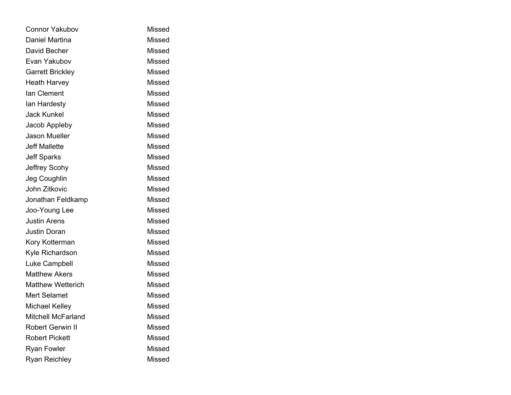| <b>Connor Yakubov</b>    | Missed        |
|--------------------------|---------------|
| Daniel Martina           | Missed        |
| David Becher             | Missed        |
| Evan Yakubov             | Missed        |
| <b>Garrett Brickley</b>  | Missed        |
| <b>Heath Harvey</b>      | Missed        |
| lan Clement              | Missed        |
| lan Hardesty             | <b>Missed</b> |
| <b>Jack Kunkel</b>       | Missed        |
| Jacob Appleby            | Missed        |
| Jason Mueller            | Missed        |
| <b>Jeff Mallette</b>     | Missed        |
| <b>Jeff Sparks</b>       | Missed        |
| Jeffrey Scohy            | Missed        |
| Jeg Coughlin             | Missed        |
| John Zitkovic            | <b>Missed</b> |
| Jonathan Feldkamp        | Missed        |
| Joo-Young Lee            | Missed        |
| <b>Justin Arens</b>      | Missed        |
| <b>Justin Doran</b>      | <b>Missed</b> |
| Kory Kotterman           | Missed        |
| Kyle Richardson          | Missed        |
| Luke Campbell            | Missed        |
| <b>Matthew Akers</b>     | <b>Missed</b> |
| <b>Matthew Wetterich</b> | Missed        |
| <b>Mert Selamet</b>      | Missed        |
| <b>Michael Kelley</b>    | <b>Missed</b> |
| Mitchell McFarland       | Missed        |
| <b>Robert Gerwin II</b>  | Missed        |
| <b>Robert Pickett</b>    | Missed        |
| <b>Ryan Fowler</b>       | <b>Missed</b> |
| <b>Ryan Reichley</b>     | <b>Missed</b> |
|                          |               |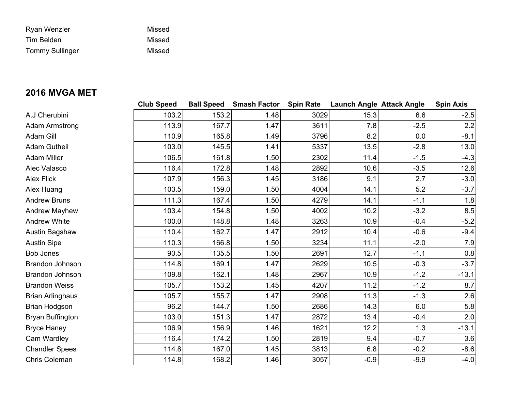| Ryan Wenzler           | Missed |
|------------------------|--------|
| Tim Belden             | Missed |
| <b>Tommy Sullinger</b> | Missed |

## **2016 MVGA MET**

|                        | <b>Club Speed</b> | <b>Ball Speed</b> | <b>Smash Factor Spin Rate</b> |      | <b>Launch Angle Attack Angle</b> |        | <b>Spin Axis</b> |
|------------------------|-------------------|-------------------|-------------------------------|------|----------------------------------|--------|------------------|
| A.J Cherubini          | 103.2             | 153.2             | 1.48                          | 3029 | 15.3                             | 6.6    | $-2.5$           |
| Adam Armstrong         | 113.9             | 167.7             | 1.47                          | 3611 | 7.8                              | $-2.5$ | 2.2              |
| Adam Gill              | 110.9             | 165.8             | 1.49                          | 3796 | 8.2                              | 0.0    | $-8.1$           |
| <b>Adam Gutheil</b>    | 103.0             | 145.5             | 1.41                          | 5337 | 13.5                             | $-2.8$ | 13.0             |
| Adam Miller            | 106.5             | 161.8             | 1.50                          | 2302 | 11.4                             | $-1.5$ | $-4.3$           |
| Alec Valasco           | 116.4             | 172.8             | 1.48                          | 2892 | 10.6                             | $-3.5$ | 12.6             |
| Alex Flick             | 107.9             | 156.3             | 1.45                          | 3186 | 9.1                              | 2.7    | $-3.0$           |
| Alex Huang             | 103.5             | 159.0             | 1.50                          | 4004 | 14.1                             | 5.2    | $-3.7$           |
| <b>Andrew Bruns</b>    | 111.3             | 167.4             | 1.50                          | 4279 | 14.1                             | $-1.1$ | 1.8              |
| <b>Andrew Mayhew</b>   | 103.4             | 154.8             | 1.50                          | 4002 | 10.2                             | $-3.2$ | 8.5              |
| <b>Andrew White</b>    | 100.0             | 148.8             | 1.48                          | 3263 | 10.9                             | $-0.4$ | $-5.2$           |
| Austin Bagshaw         | 110.4             | 162.7             | 1.47                          | 2912 | 10.4                             | $-0.6$ | $-9.4$           |
| <b>Austin Sipe</b>     | 110.3             | 166.8             | 1.50                          | 3234 | 11.1                             | $-2.0$ | 7.9              |
| <b>Bob Jones</b>       | 90.5              | 135.5             | 1.50                          | 2691 | 12.7                             | $-1.1$ | 0.8              |
| <b>Brandon Johnson</b> | 114.8             | 169.1             | 1.47                          | 2629 | 10.5                             | $-0.3$ | $-3.7$           |
| <b>Brandon Johnson</b> | 109.8             | 162.1             | 1.48                          | 2967 | 10.9                             | $-1.2$ | $-13.1$          |
| <b>Brandon Weiss</b>   | 105.7             | 153.2             | 1.45                          | 4207 | 11.2                             | $-1.2$ | 8.7              |
| Brian Arlinghaus       | 105.7             | 155.7             | 1.47                          | 2908 | 11.3                             | $-1.3$ | 2.6              |
| Brian Hodgson          | 96.2              | 144.7             | 1.50                          | 2686 | 14.3                             | 6.0    | 5.8              |
| Bryan Buffington       | 103.0             | 151.3             | 1.47                          | 2872 | 13.4                             | $-0.4$ | 2.0              |
| <b>Bryce Haney</b>     | 106.9             | 156.9             | 1.46                          | 1621 | 12.2                             | 1.3    | $-13.1$          |
| Cam Wardley            | 116.4             | 174.2             | 1.50                          | 2819 | 9.4                              | $-0.7$ | 3.6              |
| <b>Chandler Spees</b>  | 114.8             | 167.0             | 1.45                          | 3813 | 6.8                              | $-0.2$ | $-8.6$           |
| Chris Coleman          | 114.8             | 168.2             | 1.46                          | 3057 | $-0.9$                           | $-9.9$ | $-4.0$           |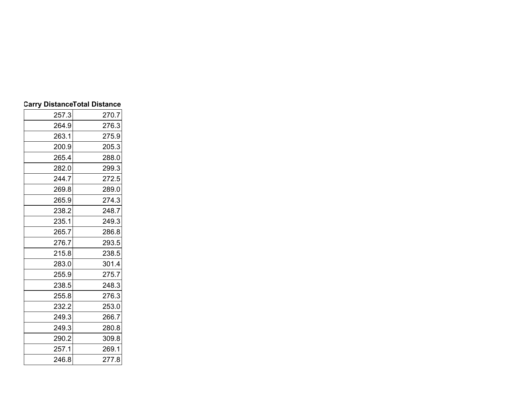|       | <b>Carry DistanceTotal Distance</b> |
|-------|-------------------------------------|
| 257.3 | 270.7                               |
| 264.9 | 276.3                               |
| 263.1 | 275.9                               |
| 200.9 | 205.3                               |
| 265.4 | 288.0                               |
| 282.0 | 299.3                               |
| 244.7 | 272.5                               |
| 269.8 | 289.0                               |
| 265.9 | 274.3                               |
| 238.2 | 248.7                               |
| 235.1 | 249.3                               |
| 265.7 | 286.8                               |
| 276.7 | 293.5                               |
| 215.8 | 238.5                               |
| 283.0 | 301.4                               |
| 255.9 | 275.7                               |
| 238.5 | 248.3                               |
| 255.8 | 276.3                               |
| 232.2 | 253.0                               |
| 249.3 | 266.7                               |
| 249.3 | 280.8                               |
| 290.2 | 309.8                               |
| 257.1 | 269.1                               |
| 246.8 | 277.8                               |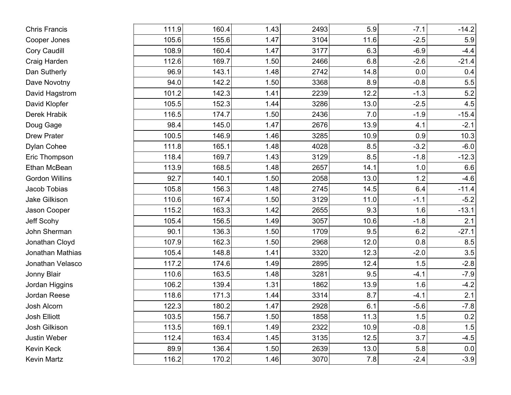| <b>Chris Francis</b>  | 111.9 | 160.4 | 1.43 | 2493 | 5.9  | $-7.1$ | $-14.2$ |
|-----------------------|-------|-------|------|------|------|--------|---------|
| Cooper Jones          | 105.6 | 155.6 | 1.47 | 3104 | 11.6 | $-2.5$ | 5.9     |
| <b>Cory Caudill</b>   | 108.9 | 160.4 | 1.47 | 3177 | 6.3  | $-6.9$ | $-4.4$  |
| Craig Harden          | 112.6 | 169.7 | 1.50 | 2466 | 6.8  | $-2.6$ | $-21.4$ |
| Dan Sutherly          | 96.9  | 143.1 | 1.48 | 2742 | 14.8 | 0.0    | 0.4     |
| Dave Novotny          | 94.0  | 142.2 | 1.50 | 3368 | 8.9  | $-0.8$ | 5.5     |
| David Hagstrom        | 101.2 | 142.3 | 1.41 | 2239 | 12.2 | $-1.3$ | $5.2\,$ |
| David Klopfer         | 105.5 | 152.3 | 1.44 | 3286 | 13.0 | $-2.5$ | 4.5     |
| Derek Hrabik          | 116.5 | 174.7 | 1.50 | 2436 | 7.0  | $-1.9$ | $-15.4$ |
| Doug Gage             | 98.4  | 145.0 | 1.47 | 2676 | 13.9 | 4.1    | $-2.1$  |
| <b>Drew Prater</b>    | 100.5 | 146.9 | 1.46 | 3285 | 10.9 | 0.9    | 10.3    |
| Dylan Cohee           | 111.8 | 165.1 | 1.48 | 4028 | 8.5  | $-3.2$ | $-6.0$  |
| Eric Thompson         | 118.4 | 169.7 | 1.43 | 3129 | 8.5  | $-1.8$ | $-12.3$ |
| Ethan McBean          | 113.9 | 168.5 | 1.48 | 2657 | 14.1 | 1.0    | 6.6     |
| <b>Gordon Willins</b> | 92.7  | 140.1 | 1.50 | 2058 | 13.0 | 1.2    | $-4.6$  |
| Jacob Tobias          | 105.8 | 156.3 | 1.48 | 2745 | 14.5 | 6.4    | $-11.4$ |
| Jake Gilkison         | 110.6 | 167.4 | 1.50 | 3129 | 11.0 | $-1.1$ | $-5.2$  |
| Jason Cooper          | 115.2 | 163.3 | 1.42 | 2655 | 9.3  | 1.6    | $-13.1$ |
| Jeff Scohy            | 105.4 | 156.5 | 1.49 | 3057 | 10.6 | $-1.8$ | 2.1     |
| John Sherman          | 90.1  | 136.3 | 1.50 | 1709 | 9.5  | 6.2    | $-27.1$ |
| Jonathan Cloyd        | 107.9 | 162.3 | 1.50 | 2968 | 12.0 | 0.8    | 8.5     |
| Jonathan Mathias      | 105.4 | 148.8 | 1.41 | 3320 | 12.3 | $-2.0$ | 3.5     |
| Jonathan Velasco      | 117.2 | 174.6 | 1.49 | 2895 | 12.4 | 1.5    | $-2.8$  |
| Jonny Blair           | 110.6 | 163.5 | 1.48 | 3281 | 9.5  | $-4.1$ | $-7.9$  |
| Jordan Higgins        | 106.2 | 139.4 | 1.31 | 1862 | 13.9 | 1.6    | $-4.2$  |
| Jordan Reese          | 118.6 | 171.3 | 1.44 | 3314 | 8.7  | $-4.1$ | 2.1     |
| Josh Alcorn           | 122.3 | 180.2 | 1.47 | 2928 | 6.1  | $-5.6$ | $-7.8$  |
| Josh Elliott          | 103.5 | 156.7 | 1.50 | 1858 | 11.3 | 1.5    | $0.2\,$ |
| Josh Gilkison         | 113.5 | 169.1 | 1.49 | 2322 | 10.9 | $-0.8$ | 1.5     |
| Justin Weber          | 112.4 | 163.4 | 1.45 | 3135 | 12.5 | 3.7    | $-4.5$  |
| Kevin Keck            | 89.9  | 136.4 | 1.50 | 2639 | 13.0 | 5.8    | 0.0     |
| Kevin Martz           | 116.2 | 170.2 | 1.46 | 3070 | 7.8  | $-2.4$ | $-3.9$  |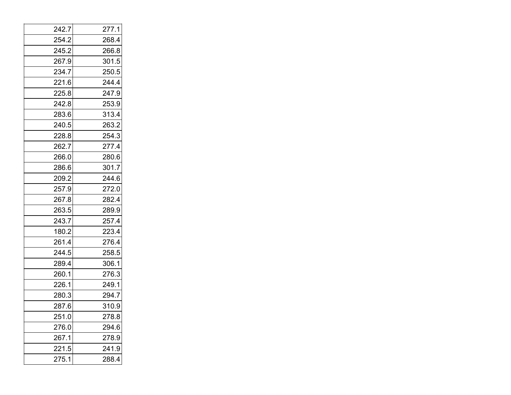| 242.7 | 277.1 |
|-------|-------|
| 254.2 | 268.4 |
| 245.2 | 266.8 |
| 267.9 | 301.5 |
| 234.7 | 250.5 |
| 221.6 | 244.4 |
| 225.8 | 247.9 |
| 242.8 | 253.9 |
| 283.6 | 313.4 |
| 240.5 | 263.2 |
| 228.8 | 254.3 |
| 262.7 | 277.4 |
| 266.0 | 280.6 |
| 286.6 | 301.7 |
| 209.2 | 244.6 |
| 257.9 | 272.0 |
| 267.8 | 282.4 |
| 263.5 | 289.9 |
| 243.7 | 257.4 |
| 180.2 | 223.4 |
| 261.4 | 276.4 |
| 244.5 | 258.5 |
| 289.4 | 306.1 |
| 260.1 | 276.3 |
| 226.1 | 249.1 |
| 280.3 | 294.7 |
| 287.6 | 310.9 |
| 251.0 | 278.8 |
| 276.0 | 294.6 |
| 267.1 | 278.9 |
| 221.5 | 241.9 |
| 275.1 | 288.4 |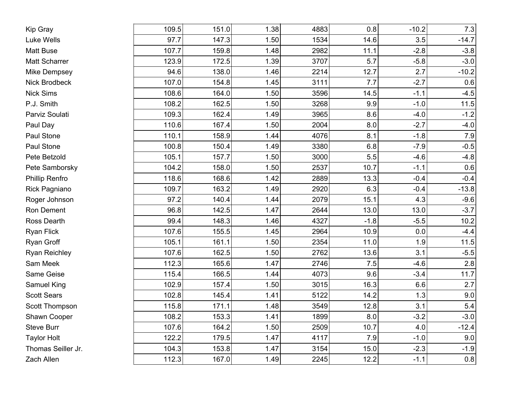| Kip Gray              | 109.5 | 151.0 | 1.38 | 4883 | 0.8    | $-10.2$ | 7.3     |
|-----------------------|-------|-------|------|------|--------|---------|---------|
| Luke Wells            | 97.7  | 147.3 | 1.50 | 1534 | 14.6   | 3.5     | $-14.7$ |
| <b>Matt Buse</b>      | 107.7 | 159.8 | 1.48 | 2982 | 11.1   | $-2.8$  | $-3.8$  |
| Matt Scharrer         | 123.9 | 172.5 | 1.39 | 3707 | 5.7    | $-5.8$  | $-3.0$  |
| <b>Mike Dempsey</b>   | 94.6  | 138.0 | 1.46 | 2214 | 12.7   | 2.7     | $-10.2$ |
| <b>Nick Brodbeck</b>  | 107.0 | 154.8 | 1.45 | 3111 | 7.7    | $-2.7$  | 0.6     |
| <b>Nick Sims</b>      | 108.6 | 164.0 | 1.50 | 3596 | 14.5   | $-1.1$  | $-4.5$  |
| P.J. Smith            | 108.2 | 162.5 | 1.50 | 3268 | 9.9    | $-1.0$  | 11.5    |
| Parviz Soulati        | 109.3 | 162.4 | 1.49 | 3965 | 8.6    | $-4.0$  | $-1.2$  |
| Paul Day              | 110.6 | 167.4 | 1.50 | 2004 | 8.0    | $-2.7$  | $-4.0$  |
| Paul Stone            | 110.1 | 158.9 | 1.44 | 4076 | 8.1    | $-1.8$  | $7.9$   |
| Paul Stone            | 100.8 | 150.4 | 1.49 | 3380 | 6.8    | $-7.9$  | $-0.5$  |
| Pete Betzold          | 105.1 | 157.7 | 1.50 | 3000 | 5.5    | $-4.6$  | $-4.8$  |
| Pete Samborsky        | 104.2 | 158.0 | 1.50 | 2537 | 10.7   | $-1.1$  | 0.6     |
| <b>Phillip Renfro</b> | 118.6 | 168.6 | 1.42 | 2889 | 13.3   | $-0.4$  | $-0.4$  |
| Rick Pagniano         | 109.7 | 163.2 | 1.49 | 2920 | 6.3    | $-0.4$  | $-13.8$ |
| Roger Johnson         | 97.2  | 140.4 | 1.44 | 2079 | 15.1   | 4.3     | $-9.6$  |
| Ron Dement            | 96.8  | 142.5 | 1.47 | 2644 | 13.0   | 13.0    | $-3.7$  |
| Ross Dearth           | 99.4  | 148.3 | 1.46 | 4327 | $-1.8$ | $-5.5$  | 10.2    |
| <b>Ryan Flick</b>     | 107.6 | 155.5 | 1.45 | 2964 | 10.9   | 0.0     | $-4.4$  |
| Ryan Groff            | 105.1 | 161.1 | 1.50 | 2354 | 11.0   | 1.9     | 11.5    |
| <b>Ryan Reichley</b>  | 107.6 | 162.5 | 1.50 | 2762 | 13.6   | 3.1     | $-5.5$  |
| Sam Meek              | 112.3 | 165.6 | 1.47 | 2746 | 7.5    | $-4.6$  | 2.8     |
| Same Geise            | 115.4 | 166.5 | 1.44 | 4073 | 9.6    | $-3.4$  | 11.7    |
| Samuel King           | 102.9 | 157.4 | 1.50 | 3015 | 16.3   | 6.6     | 2.7     |
| <b>Scott Sears</b>    | 102.8 | 145.4 | 1.41 | 5122 | 14.2   | 1.3     | 9.0     |
| Scott Thompson        | 115.8 | 171.1 | 1.48 | 3549 | 12.8   | 3.1     | $5.4$   |
| Shawn Cooper          | 108.2 | 153.3 | 1.41 | 1899 | 8.0    | $-3.2$  | $-3.0$  |
| Steve Burr            | 107.6 | 164.2 | 1.50 | 2509 | 10.7   | 4.0     | $-12.4$ |
| <b>Taylor Holt</b>    | 122.2 | 179.5 | 1.47 | 4117 | 7.9    | $-1.0$  | 9.0     |
| Thomas Seiller Jr.    | 104.3 | 153.8 | 1.47 | 3154 | 15.0   | $-2.3$  | $-1.9$  |
| Zach Allen            | 112.3 | 167.0 | 1.49 | 2245 | 12.2   | $-1.1$  | 0.8     |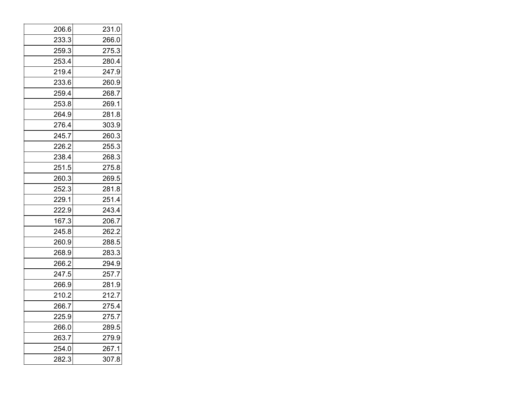| 206.6 | 231.0 |
|-------|-------|
| 233.3 | 266.0 |
| 259.3 | 275.3 |
| 253.4 | 280.4 |
| 219.4 | 247.9 |
| 233.6 | 260.9 |
| 259.4 | 268.7 |
| 253.8 | 269.1 |
| 264.9 | 281.8 |
| 276.4 | 303.9 |
| 245.7 | 260.3 |
| 226.2 | 255.3 |
| 238.4 | 268.3 |
| 251.5 | 275.8 |
| 260.3 | 269.5 |
| 252.3 | 281.8 |
| 229.1 | 251.4 |
| 222.9 | 243.4 |
| 167.3 | 206.7 |
| 245.8 | 262.2 |
| 260.9 | 288.5 |
| 268.9 | 283.3 |
| 266.2 | 294.9 |
| 247.5 | 257.7 |
| 266.9 | 281.9 |
| 210.2 | 212.7 |
| 266.7 | 275.4 |
| 225.9 | 275.7 |
| 266.0 | 289.5 |
| 263.7 | 279.9 |
| 254.0 | 267.1 |
| 282.3 | 307.8 |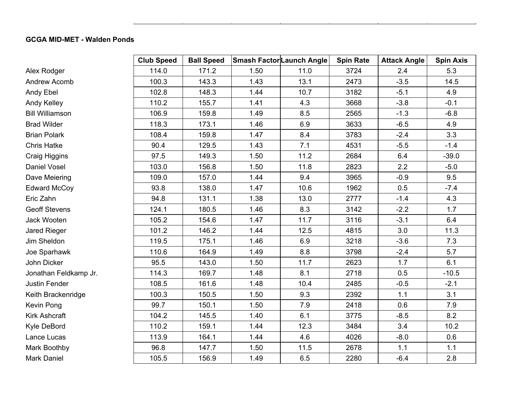## **GCGA MID-MET - Walden Ponds**

|                        | <b>Club Speed</b> | <b>Ball Speed</b> | <b>Smash Factor Launch Angle</b> |      | <b>Spin Rate</b> | <b>Attack Angle</b> | <b>Spin Axis</b> |
|------------------------|-------------------|-------------------|----------------------------------|------|------------------|---------------------|------------------|
| Alex Rodger            | 114.0             | 171.2             | 1.50                             | 11.0 | 3724             | 2.4                 | 5.3              |
| Andrew Acomb           | 100.3             | 143.3             | 1.43                             | 13.1 | 2473             | $-3.5$              | 14.5             |
| Andy Ebel              | 102.8             | 148.3             | 1.44                             | 10.7 | 3182             | $-5.1$              | 4.9              |
| Andy Kelley            | 110.2             | 155.7             | 1.41                             | 4.3  | 3668             | $-3.8$              | $-0.1$           |
| <b>Bill Williamson</b> | 106.9             | 159.8             | 1.49                             | 8.5  | 2565             | $-1.3$              | $-6.8$           |
| <b>Brad Wilder</b>     | 118.3             | 173.1             | 1.46                             | 6.9  | 3633             | $-6.5$              | 4.9              |
| <b>Brian Polark</b>    | 108.4             | 159.8             | 1.47                             | 8.4  | 3783             | $-2.4$              | 3.3              |
| <b>Chris Hatke</b>     | 90.4              | 129.5             | 1.43                             | 7.1  | 4531             | $-5.5$              | $-1.4$           |
| Craig Higgins          | 97.5              | 149.3             | 1.50                             | 11.2 | 2684             | 6.4                 | $-39.0$          |
| Daniel Vosel           | 103.0             | 156.8             | 1.50                             | 11.8 | 2823             | 2.2                 | $-5.0$           |
| Dave Meiering          | 109.0             | 157.0             | 1.44                             | 9.4  | 3965             | $-0.9$              | 9.5              |
| <b>Edward McCoy</b>    | 93.8              | 138.0             | 1.47                             | 10.6 | 1962             | 0.5                 | $-7.4$           |
| Eric Zahn              | 94.8              | 131.1             | 1.38                             | 13.0 | 2777             | $-1.4$              | 4.3              |
| <b>Geoff Stevens</b>   | 124.1             | 180.5             | 1.46                             | 8.3  | 3142             | $-2.2$              | 1.7              |
| Jack Wooten            | 105.2             | 154.6             | 1.47                             | 11.7 | 3116             | $-3.1$              | 6.4              |
| Jared Rieger           | 101.2             | 146.2             | 1.44                             | 12.5 | 4815             | 3.0                 | 11.3             |
| Jim Sheldon            | 119.5             | 175.1             | 1.46                             | 6.9  | 3218             | $-3.6$              | 7.3              |
| Joe Sparhawk           | 110.6             | 164.9             | 1.49                             | 8.8  | 3798             | $-2.4$              | 5.7              |
| John Dicker            | 95.5              | 143.0             | 1.50                             | 11.7 | 2623             | 1.7                 | 6.1              |
| Jonathan Feldkamp Jr.  | 114.3             | 169.7             | 1.48                             | 8.1  | 2718             | 0.5                 | $-10.5$          |
| Justin Fender          | 108.5             | 161.6             | 1.48                             | 10.4 | 2485             | $-0.5$              | $-2.1$           |
| Keith Brackenridge     | 100.3             | 150.5             | 1.50                             | 9.3  | 2392             | 1.1                 | 3.1              |
| Kevin Pong             | 99.7              | 150.1             | 1.50                             | 7.9  | 2418             | 0.6                 | 7.9              |
| Kirk Ashcraft          | 104.2             | 145.5             | 1.40                             | 6.1  | 3775             | $-8.5$              | 8.2              |
| Kyle DeBord            | 110.2             | 159.1             | 1.44                             | 12.3 | 3484             | 3.4                 | 10.2             |
| Lance Lucas            | 113.9             | 164.1             | 1.44                             | 4.6  | 4026             | $-8.0$              | 0.6              |
| Mark Boothby           | 96.8              | 147.7             | 1.50                             | 11.5 | 2678             | 1.1                 | 1.1              |
| Mark Daniel            | 105.5             | 156.9             | 1.49                             | 6.5  | 2280             | $-6.4$              | 2.8              |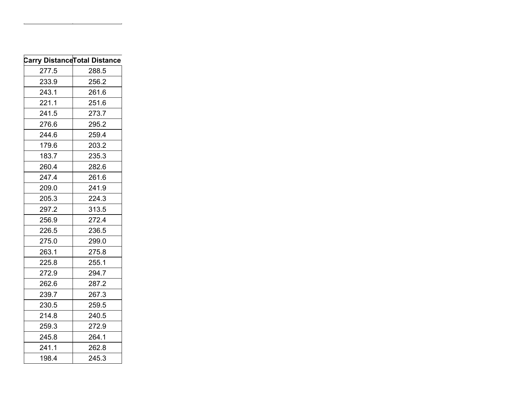|       | <b>Carry Distance Total Distance</b> |
|-------|--------------------------------------|
| 277.5 | 288.5                                |
| 233.9 | 256.2                                |
| 243.1 | 261.6                                |
| 221.1 | 251.6                                |
| 241.5 | 273.7                                |
| 276.6 | 295.2                                |
| 244.6 | 259.4                                |
| 179.6 | 203.2                                |
| 183.7 | 235.3                                |
| 260.4 | 282.6                                |
| 247.4 | 261.6                                |
| 209.0 | 241.9                                |
| 205.3 | 224.3                                |
| 297.2 | 313.5                                |
| 256.9 | 272.4                                |
| 226.5 | 236.5                                |
| 275.0 | 299.0                                |
| 263.1 | 275.8                                |
| 225.8 | 255.1                                |
| 272.9 | 294.7                                |
| 262.6 | 287.2                                |
| 239.7 | 267.3                                |
| 230.5 | 259.5                                |
| 214.8 | 240.5                                |
| 259.3 | 272.9                                |
| 245.8 | 264.1                                |
| 241.1 | 262.8                                |
| 198.4 | 245.3                                |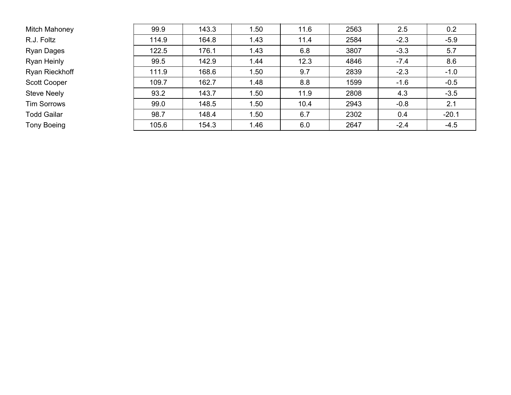| Mitch Mahoney       | 99.9  | 143.3 | 1.50 | 11.6 | 2563 | 2.5    | 0.2     |
|---------------------|-------|-------|------|------|------|--------|---------|
| R.J. Foltz          | 114.9 | 164.8 | 1.43 | 11.4 | 2584 | $-2.3$ | $-5.9$  |
| Ryan Dages          | 122.5 | 176.1 | 1.43 | 6.8  | 3807 | $-3.3$ | 5.7     |
| Ryan Heinly         | 99.5  | 142.9 | 1.44 | 12.3 | 4846 | $-7.4$ | 8.6     |
| Ryan Rieckhoff      | 111.9 | 168.6 | 1.50 | 9.7  | 2839 | $-2.3$ | $-1.0$  |
| <b>Scott Cooper</b> | 109.7 | 162.7 | 1.48 | 8.8  | 1599 | $-1.6$ | $-0.5$  |
| <b>Steve Neely</b>  | 93.2  | 143.7 | 1.50 | 11.9 | 2808 | 4.3    | $-3.5$  |
| <b>Tim Sorrows</b>  | 99.0  | 148.5 | 1.50 | 10.4 | 2943 | $-0.8$ | 2.1     |
| <b>Todd Gailar</b>  | 98.7  | 148.4 | 1.50 | 6.7  | 2302 | 0.4    | $-20.1$ |
| Tony Boeing         | 105.6 | 154.3 | 1.46 | 6.0  | 2647 | $-2.4$ | $-4.5$  |